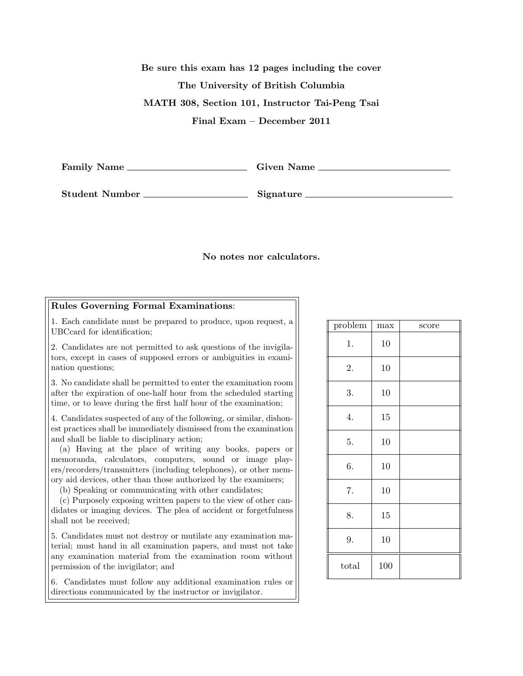Be sure this exam has 12 pages including the cover The University of British Columbia MATH 308, Section 101, Instructor Tai-Peng Tsai Final Exam – December 2011

Family Name Given Name

Student Number Signature

## No notes nor calculators.

## Rules Governing Formal Examinations:

1. Each candidate must be prepared to produce, upon request, a UBCcard for identification;

2. Candidates are not permitted to ask questions of the invigilators, except in cases of supposed errors or ambiguities in examination questions;

3. No candidate shall be permitted to enter the examination room after the expiration of one-half hour from the scheduled starting time, or to leave during the first half hour of the examination;

4. Candidates suspected of any of the following, or similar, dishonest practices shall be immediately dismissed from the examination and shall be liable to disciplinary action;

(a) Having at the place of writing any books, papers or memoranda, calculators, computers, sound or image players/recorders/transmitters (including telephones), or other memory aid devices, other than those authorized by the examiners;

(b) Speaking or communicating with other candidates;

(c) Purposely exposing written papers to the view of other candidates or imaging devices. The plea of accident or forgetfulness shall not be received;

5. Candidates must not destroy or mutilate any examination material; must hand in all examination papers, and must not take any examination material from the examination room without permission of the invigilator; and

6. Candidates must follow any additional examination rules or directions communicated by the instructor or invigilator.

| problem | max | score |
|---------|-----|-------|
| 1.      | 10  |       |
| 2.      | 10  |       |
| 3.      | 10  |       |
| 4.      | 15  |       |
| 5.      | 10  |       |
| 6.      | 10  |       |
| 7.      | 10  |       |
| 8.      | 15  |       |
| 9.      | 10  |       |
| total   | 100 |       |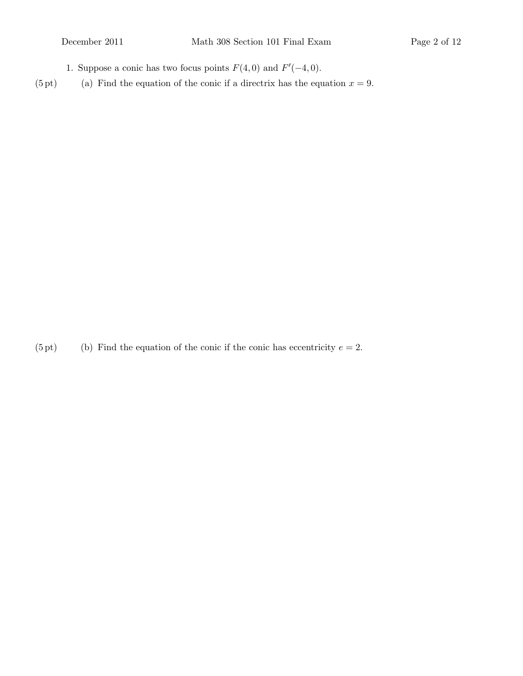1. Suppose a conic has two focus points  $F(4,0)$  and  $F'(-4,0)$ .

(5 pt) (a) Find the equation of the conic if a directrix has the equation  $x = 9$ .

(5 pt) (b) Find the equation of the conic if the conic has eccentricity  $e = 2$ .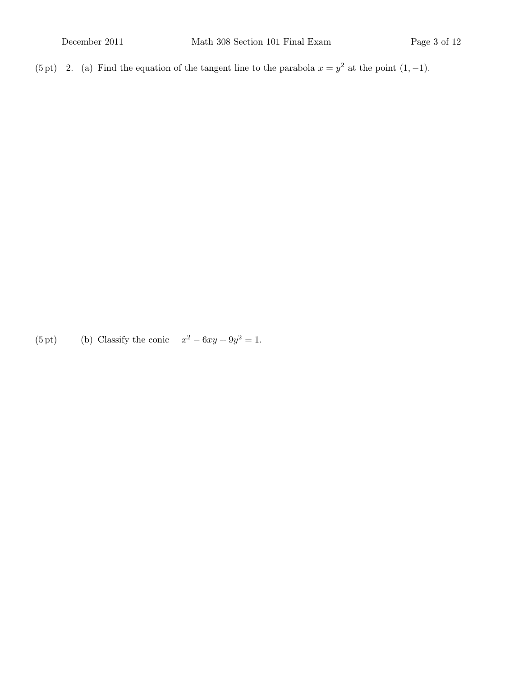(5 pt) 2. (a) Find the equation of the tangent line to the parabola  $x = y^2$  at the point  $(1, -1)$ .

(5 pt) (b) Classify the conic  $x^2 - 6xy + 9y^2 = 1$ .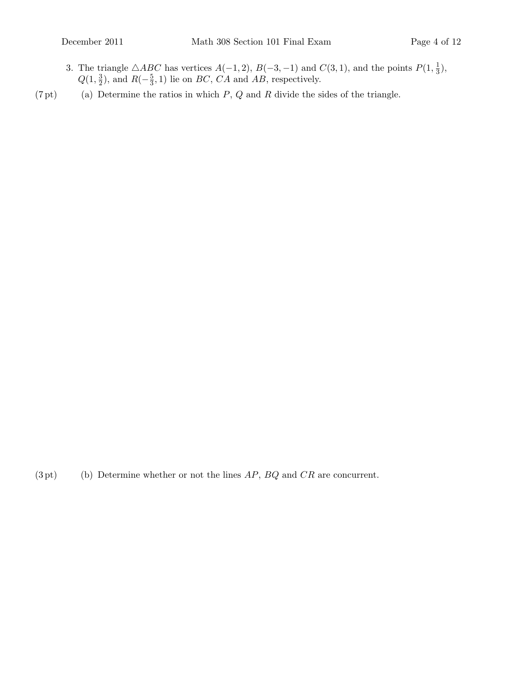- 3. The triangle  $\triangle ABC$  has vertices  $A(-1, 2), B(-3, -1)$  and  $C(3, 1),$  and the points  $P(1, \frac{1}{3})$  $\frac{1}{3}$ ),  $Q(1, \frac{3}{2})$  $(\frac{3}{2})$ , and  $R(-\frac{5}{3})$  $(\frac{5}{3}, 1)$  lie on *BC*, *CA* and *AB*, respectively.
- $(7 \text{ pt})$  (a) Determine the ratios in which  $P$ ,  $Q$  and  $R$  divide the sides of the triangle.

 $(3 \text{ pt})$  (b) Determine whether or not the lines  $AP$ ,  $BQ$  and  $CR$  are concurrent.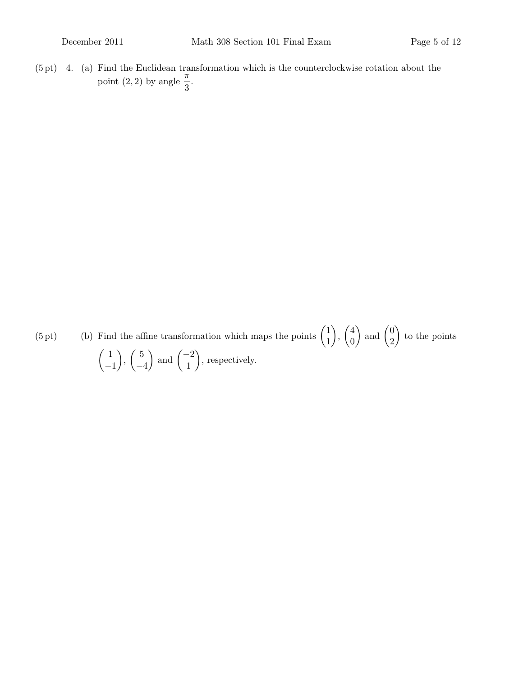$(5 \text{ pt})$  4. (a) Find the Euclidean transformation which is the counterclockwise rotation about the point  $(2, 2)$  by angle  $\frac{\pi}{3}$ .

 $(5 \text{ pt})$  (b) Find the affine transformation which maps the points  $\begin{pmatrix} 1 \\ 1 \end{pmatrix}$ 1  $\Big)$ ,  $\Big( \frac{4}{9}$ 0 ) and  $\begin{pmatrix} 0 \\ 0 \end{pmatrix}$ 2  $\Big)$  to the points  $\begin{pmatrix} 1 \end{pmatrix}$ −1  $\Big)$ ,  $\Big($  5 −4 ) and  $\begin{pmatrix} -2 \\ 1 \end{pmatrix}$ 1 , respectively.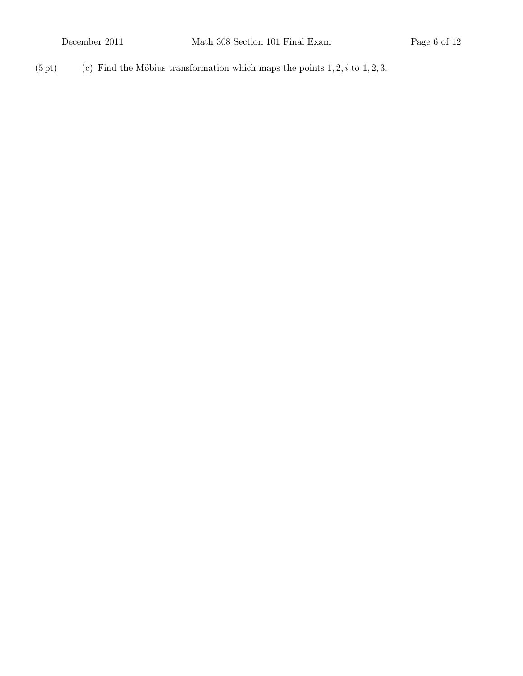(5 pt) (c) Find the Möbius transformation which maps the points  $1, 2, i$  to  $1, 2, 3$ .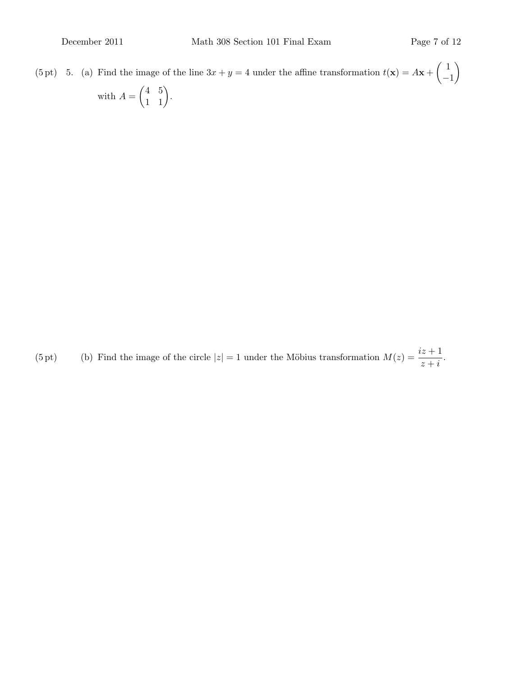(5 pt) 5. (a) Find the image of the line  $3x + y = 4$  under the affine transformation  $t(\mathbf{x}) = A\mathbf{x} + \begin{pmatrix} 1 \\ -1 \end{pmatrix}$ −1  $\setminus$ with  $A = \begin{pmatrix} 4 & 5 \\ 1 & 1 \end{pmatrix}$ .

(5 pt) (b) Find the image of the circle  $|z| = 1$  under the Möbius transformation  $M(z) = \frac{iz+1}{z+i}$ .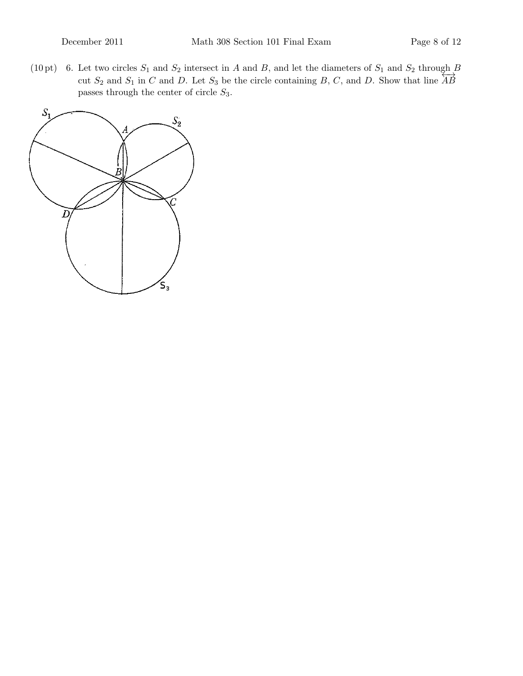(10 pt) 6. Let two circles  $S_1$  and  $S_2$  intersect in A and B, and let the diameters of  $S_1$  and  $S_2$  through  $\beta$ cut  $S_2$  and  $S_1$  in C and D. Let  $S_3$  be the circle containing B, C, and D. Show that line  $\overleftrightarrow{AB}$ passes through the center of circle  $S_3$ .

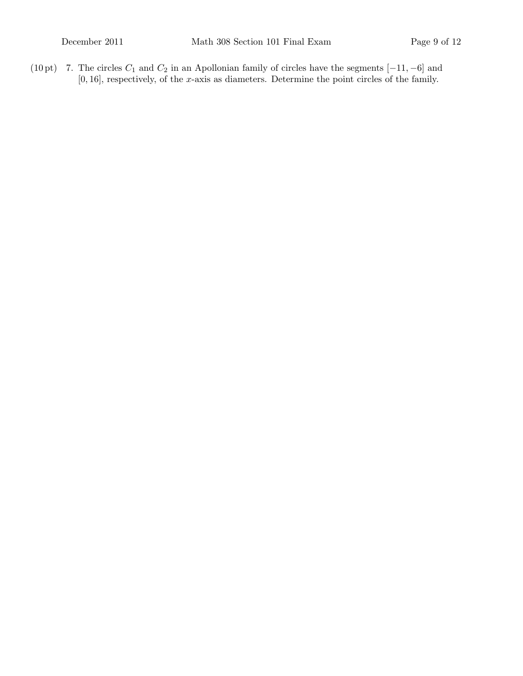(10 pt) 7. The circles  $C_1$  and  $C_2$  in an Apollonian family of circles have the segments  $[-11, -6]$  and  $[0, 16]$ , respectively, of the x-axis as diameters. Determine the point circles of the family.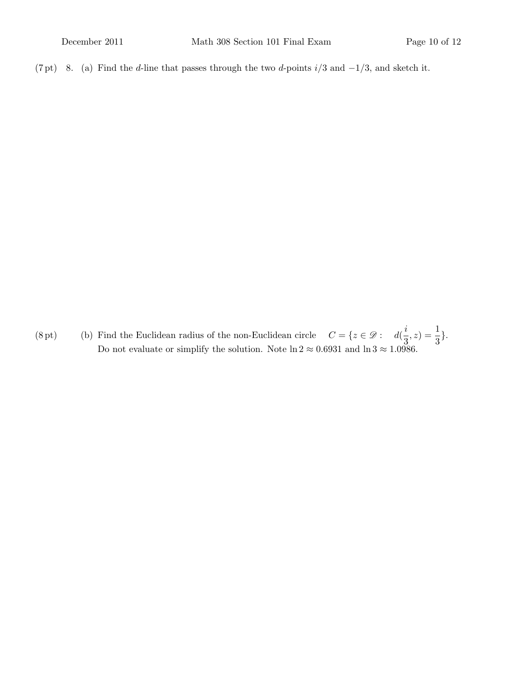(7 pt) 8. (a) Find the d-line that passes through the two d-points  $i/3$  and  $-1/3$ , and sketch it.

(8 pt) (b) Find the Euclidean radius of the non-Euclidean circle  $C = \{z \in \mathcal{D} : d(\frac{i}{2})\}$  $(\frac{i}{3}, z) = \frac{1}{3}.$ Do not evaluate or simplify the solution. Note  $\ln 2 \approx 0.6931$  and  $\ln 3 \approx 1.0986$ .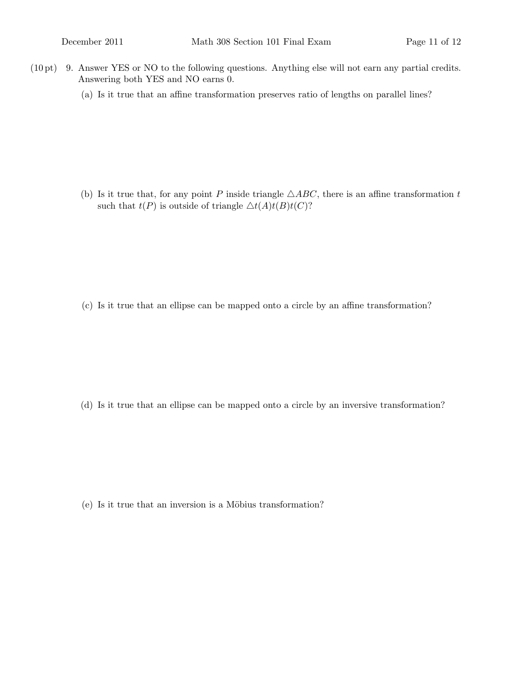- $(10 \text{ pt})$  9. Answer YES or NO to the following questions. Anything else will not earn any partial credits. Answering both YES and NO earns 0.
	- (a) Is it true that an affine transformation preserves ratio of lengths on parallel lines?

(b) Is it true that, for any point P inside triangle  $\triangle ABC$ , there is an affine transformation t such that  $t(P)$  is outside of triangle  $\Delta t(A)t(B)t(C)$ ?

(c) Is it true that an ellipse can be mapped onto a circle by an affine transformation?

(d) Is it true that an ellipse can be mapped onto a circle by an inversive transformation?

 $(e)$  Is it true that an inversion is a Möbius transformation?